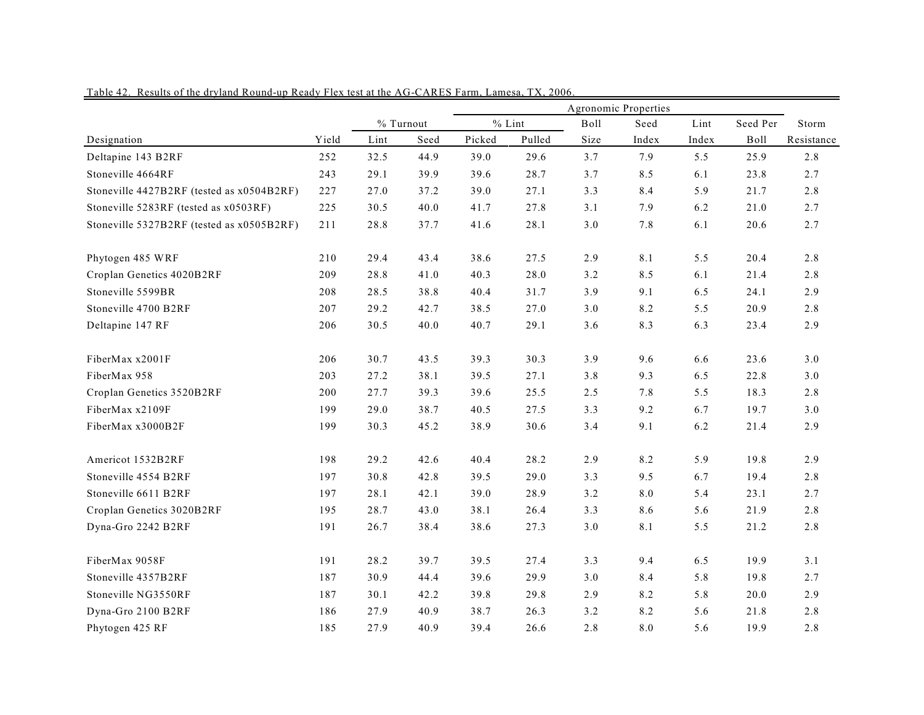|                                           |       |      |           | Agronomic Properties |          |       |       |       |          |            |  |  |
|-------------------------------------------|-------|------|-----------|----------------------|----------|-------|-------|-------|----------|------------|--|--|
|                                           |       |      | % Turnout |                      | $%$ Lint | Boll  | Seed  | Lint  | Seed Per | Storm      |  |  |
| Designation                               | Yield | Lint | Seed      | Picked               | Pulled   | Size  | Index | Index | Boll     | Resistance |  |  |
| Deltapine 143 B2RF                        | 252   | 32.5 | 44.9      | 39.0                 | 29.6     | 3.7   | 7.9   | 5.5   | 25.9     | 2.8        |  |  |
| Stoneville 4664RF                         | 243   | 29.1 | 39.9      | 39.6                 | 28.7     | 3.7   | 8.5   | 6.1   | 23.8     | 2.7        |  |  |
| Stoneville 4427B2RF (tested as x0504B2RF) | 227   | 27.0 | 37.2      | 39.0                 | 27.1     | 3.3   | 8.4   | 5.9   | 21.7     | 2.8        |  |  |
| Stoneville 5283RF (tested as x0503RF)     | 225   | 30.5 | 40.0      | 41.7                 | 27.8     | 3.1   | 7.9   | 6.2   | 21.0     | 2.7        |  |  |
| Stoneville 5327B2RF (tested as x0505B2RF) | 211   | 28.8 | 37.7      | 41.6                 | 28.1     | $3.0$ | 7.8   | 6.1   | 20.6     | 2.7        |  |  |
| Phytogen 485 WRF                          | 210   | 29.4 | 43.4      | 38.6                 | 27.5     | 2.9   | 8.1   | 5.5   | 20.4     | 2.8        |  |  |
| Croplan Genetics 4020B2RF                 | 209   | 28.8 | 41.0      | 40.3                 | 28.0     | 3.2   | 8.5   | 6.1   | 21.4     | 2.8        |  |  |
| Stoneville 5599BR                         | 208   | 28.5 | 38.8      | 40.4                 | 31.7     | 3.9   | 9.1   | 6.5   | 24.1     | 2.9        |  |  |
| Stoneville 4700 B2RF                      | 207   | 29.2 | 42.7      | 38.5                 | 27.0     | $3.0$ | 8.2   | 5.5   | 20.9     | 2.8        |  |  |
| Deltapine 147 RF                          | 206   | 30.5 | 40.0      | 40.7                 | 29.1     | 3.6   | 8.3   | 6.3   | 23.4     | 2.9        |  |  |
| FiberMax x2001F                           | 206   | 30.7 | 43.5      | 39.3                 | 30.3     | 3.9   | 9.6   | 6.6   | 23.6     | 3.0        |  |  |
| FiberMax 958                              | 203   | 27.2 | 38.1      | 39.5                 | 27.1     | 3.8   | 9.3   | 6.5   | 22.8     | 3.0        |  |  |
| Croplan Genetics 3520B2RF                 | 200   | 27.7 | 39.3      | 39.6                 | 25.5     | 2.5   | 7.8   | 5.5   | 18.3     | 2.8        |  |  |
| FiberMax x2109F                           | 199   | 29.0 | 38.7      | 40.5                 | 27.5     | 3.3   | 9.2   | 6.7   | 19.7     | 3.0        |  |  |
| FiberMax x3000B2F                         | 199   | 30.3 | 45.2      | 38.9                 | 30.6     | 3.4   | 9.1   | 6.2   | 21.4     | 2.9        |  |  |
| Americot 1532B2RF                         | 198   | 29.2 | 42.6      | 40.4                 | 28.2     | 2.9   | 8.2   | 5.9   | 19.8     | 2.9        |  |  |
| Stoneville 4554 B2RF                      | 197   | 30.8 | 42.8      | 39.5                 | 29.0     | 3.3   | 9.5   | 6.7   | 19.4     | 2.8        |  |  |
| Stoneville 6611 B2RF                      | 197   | 28.1 | 42.1      | 39.0                 | 28.9     | 3.2   | 8.0   | 5.4   | 23.1     | 2.7        |  |  |
| Croplan Genetics 3020B2RF                 | 195   | 28.7 | 43.0      | 38.1                 | 26.4     | 3.3   | 8.6   | 5.6   | 21.9     | 2.8        |  |  |
| Dyna-Gro 2242 B2RF                        | 191   | 26.7 | 38.4      | 38.6                 | 27.3     | $3.0$ | 8.1   | 5.5   | 21.2     | 2.8        |  |  |
| FiberMax 9058F                            | 191   | 28.2 | 39.7      | 39.5                 | 27.4     | 3.3   | 9.4   | 6.5   | 19.9     | 3.1        |  |  |
| Stoneville 4357B2RF                       | 187   | 30.9 | 44.4      | 39.6                 | 29.9     | 3.0   | 8.4   | 5.8   | 19.8     | 2.7        |  |  |
| Stoneville NG3550RF                       | 187   | 30.1 | 42.2      | 39.8                 | 29.8     | 2.9   | 8.2   | 5.8   | 20.0     | 2.9        |  |  |
| Dyna-Gro 2100 B2RF                        | 186   | 27.9 | 40.9      | 38.7                 | 26.3     | 3.2   | 8.2   | 5.6   | 21.8     | 2.8        |  |  |
| Phytogen 425 RF                           | 185   | 27.9 | 40.9      | 39.4                 | 26.6     | 2.8   | 8.0   | 5.6   | 19.9     | 2.8        |  |  |

Table 42. Results of the dryland Round-up Ready Flex test at the AG-CARES Farm, Lamesa, TX, 2006.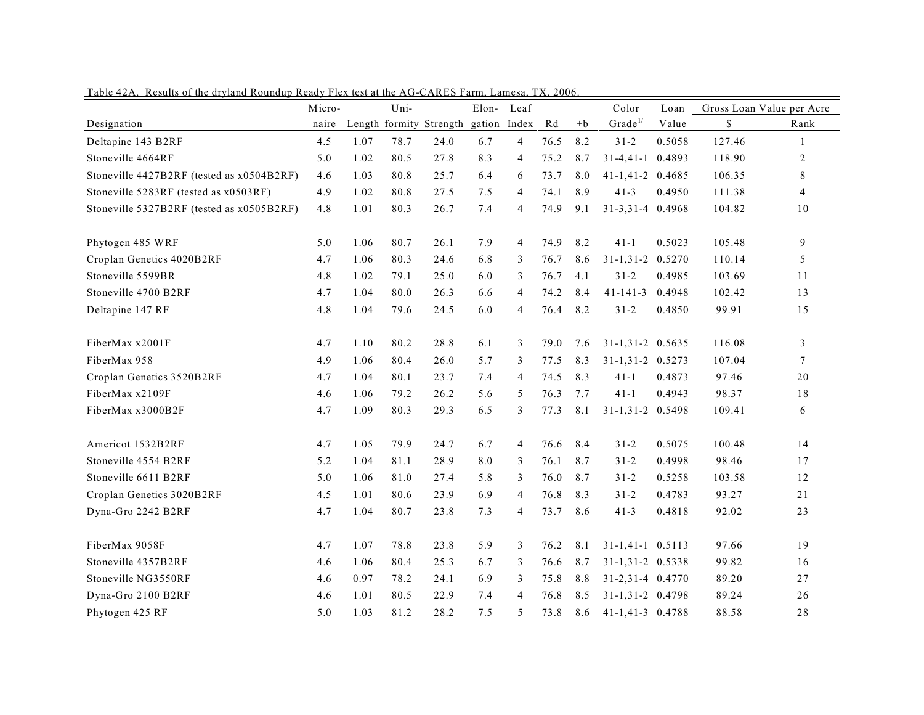|                                           | Micro- |      | Uni- |                         | Elon-        | Leaf           |      |      | Color                   | Loan   |        | Gross Loan Value per Acre |
|-------------------------------------------|--------|------|------|-------------------------|--------------|----------------|------|------|-------------------------|--------|--------|---------------------------|
| Designation                               | naire  |      |      | Length formity Strength | gation Index |                | Rd   | $+b$ | Grade <sup>1/</sup>     | Value  | \$     | Rank                      |
| Deltapine 143 B2RF                        | 4.5    | 1.07 | 78.7 | 24.0                    | 6.7          | $\overline{4}$ | 76.5 | 8.2  | $31 - 2$                | 0.5058 | 127.46 | 1                         |
| Stoneville 4664RF                         | 5.0    | 1.02 | 80.5 | 27.8                    | 8.3          | 4              | 75.2 | 8.7  | $31 - 4, 41 - 1$        | 0.4893 | 118.90 | $\overline{2}$            |
| Stoneville 4427B2RF (tested as x0504B2RF) | 4.6    | 1.03 | 80.8 | 25.7                    | 6.4          | 6              | 73.7 | 8.0  | 41-1,41-2 0.4685        |        | 106.35 | 8                         |
| Stoneville 5283RF (tested as x0503RF)     | 4.9    | 1.02 | 80.8 | 27.5                    | 7.5          | 4              | 74.1 | 8.9  | $41 - 3$                | 0.4950 | 111.38 | $\overline{4}$            |
| Stoneville 5327B2RF (tested as x0505B2RF) | 4.8    | 1.01 | 80.3 | 26.7                    | 7.4          | $\overline{4}$ | 74.9 | 9.1  | 31-3,31-4 0.4968        |        | 104.82 | 10                        |
| Phytogen 485 WRF                          | 5.0    | 1.06 | 80.7 | 26.1                    | 7.9          | $\overline{4}$ | 74.9 | 8.2  | $41 - 1$                | 0.5023 | 105.48 | $\boldsymbol{9}$          |
| Croplan Genetics 4020B2RF                 | 4.7    | 1.06 | 80.3 | 24.6                    | 6.8          | 3              | 76.7 | 8.6  | $31 - 1, 31 - 2$        | 0.5270 | 110.14 | 5                         |
| Stoneville 5599BR                         | 4.8    | 1.02 | 79.1 | 25.0                    | 6.0          | 3              | 76.7 | 4.1  | $31 - 2$                | 0.4985 | 103.69 | 11                        |
| Stoneville 4700 B2RF                      | 4.7    | 1.04 | 80.0 | 26.3                    | 6.6          | $\overline{4}$ | 74.2 | 8.4  | $41 - 141 - 3$          | 0.4948 | 102.42 | 13                        |
| Deltapine 147 RF                          | 4.8    | 1.04 | 79.6 | 24.5                    | 6.0          | $\overline{4}$ | 76.4 | 8.2  | $31 - 2$                | 0.4850 | 99.91  | 15                        |
| FiberMax x2001F                           | 4.7    | 1.10 | 80.2 | 28.8                    | 6.1          | 3              | 79.0 | 7.6  | $31-1,31-2$ 0.5635      |        | 116.08 | 3                         |
| FiberMax 958                              | 4.9    | 1.06 | 80.4 | 26.0                    | 5.7          | 3              | 77.5 | 8.3  | $31-1,31-2$ 0.5273      |        | 107.04 | $\tau$                    |
| Croplan Genetics 3520B2RF                 | 4.7    | 1.04 | 80.1 | 23.7                    | 7.4          | 4              | 74.5 | 8.3  | $41 - 1$                | 0.4873 | 97.46  | 20                        |
| FiberMax x2109F                           | 4.6    | 1.06 | 79.2 | 26.2                    | 5.6          | 5              | 76.3 | 7.7  | $41 - 1$                | 0.4943 | 98.37  | 18                        |
| FiberMax x3000B2F                         | 4.7    | 1.09 | 80.3 | 29.3                    | 6.5          | 3              | 77.3 | 8.1  | $31 - 1, 31 - 2$        | 0.5498 | 109.41 | 6                         |
| Americot 1532B2RF                         | 4.7    | 1.05 | 79.9 | 24.7                    | 6.7          | $\overline{4}$ | 76.6 | 8.4  | $31 - 2$                | 0.5075 | 100.48 | 14                        |
| Stoneville 4554 B2RF                      | 5.2    | 1.04 | 81.1 | 28.9                    | 8.0          | 3              | 76.1 | 8.7  | $31 - 2$                | 0.4998 | 98.46  | 17                        |
| Stoneville 6611 B2RF                      | 5.0    | 1.06 | 81.0 | 27.4                    | 5.8          | 3              | 76.0 | 8.7  | $31 - 2$                | 0.5258 | 103.58 | 12                        |
| Croplan Genetics 3020B2RF                 | 4.5    | 1.01 | 80.6 | 23.9                    | 6.9          | $\overline{4}$ | 76.8 | 8.3  | $31 - 2$                | 0.4783 | 93.27  | 21                        |
| Dyna-Gro 2242 B2RF                        | 4.7    | 1.04 | 80.7 | 23.8                    | 7.3          | 4              | 73.7 | 8.6  | $41 - 3$                | 0.4818 | 92.02  | 23                        |
| FiberMax 9058F                            | 4.7    | 1.07 | 78.8 | 23.8                    | 5.9          | 3              | 76.2 | 8.1  | 31-1,41-1 0.5113        |        | 97.66  | 19                        |
| Stoneville 4357B2RF                       | 4.6    | 1.06 | 80.4 | 25.3                    | 6.7          | 3              | 76.6 | 8.7  | 31-1,31-2 0.5338        |        | 99.82  | 16                        |
| Stoneville NG3550RF                       | 4.6    | 0.97 | 78.2 | 24.1                    | 6.9          | 3              | 75.8 | 8.8  | $31 - 2, 31 - 4$ 0.4770 |        | 89.20  | 27                        |
| Dyna-Gro 2100 B2RF                        | 4.6    | 1.01 | 80.5 | 22.9                    | 7.4          | $\overline{4}$ | 76.8 | 8.5  | 31-1,31-2 0.4798        |        | 89.24  | 26                        |
| Phytogen 425 RF                           | 5.0    | 1.03 | 81.2 | 28.2                    | 7.5          | 5              | 73.8 | 8.6  | 41-1,41-3 0.4788        |        | 88.58  | 28                        |

Table 42A. Results of the dryland Roundup Ready Flex test at the AG-CARES Farm, Lamesa, TX, 2006.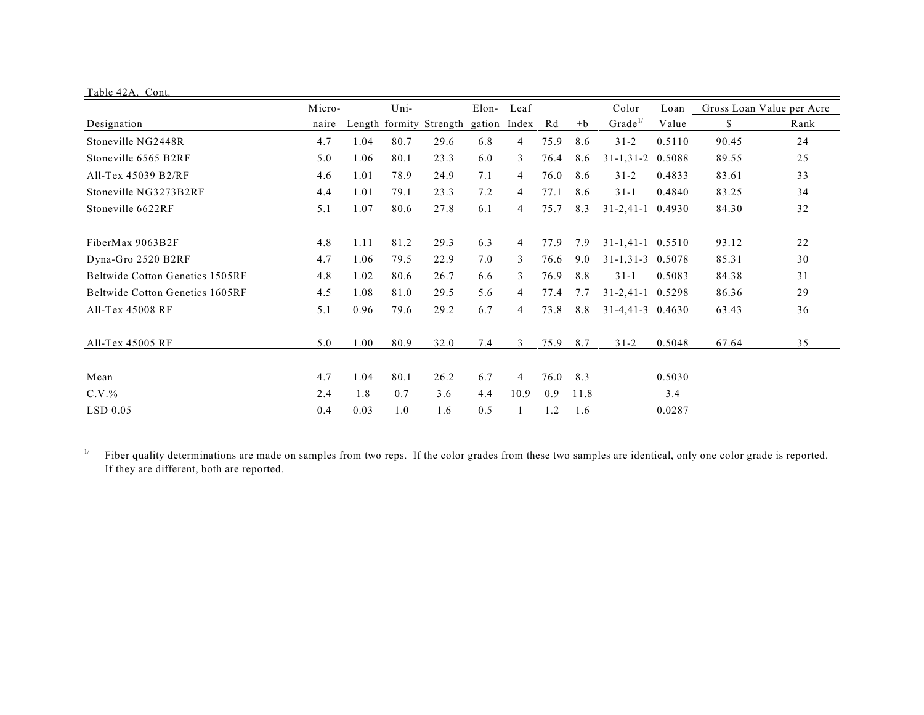| Table 42A. Cont.                       |        |      |      |                                      |       |                |      |      |                      |        |       |                           |
|----------------------------------------|--------|------|------|--------------------------------------|-------|----------------|------|------|----------------------|--------|-------|---------------------------|
|                                        | Micro- | Uni- |      |                                      | Elon- | Leaf           |      |      | Color                | Loan   |       | Gross Loan Value per Acre |
| Designation                            | naire  |      |      | Length formity Strength gation Index |       |                | Rd   | $+b$ | Grade <sup>1/</sup>  | Value  | S.    | Rank                      |
| Stoneville NG2448R                     | 4.7    | 1.04 | 80.7 | 29.6                                 | 6.8   | 4              | 75.9 | 8.6  | $31 - 2$             | 0.5110 | 90.45 | 24                        |
| Stoneville 6565 B2RF                   | 5.0    | 1.06 | 80.1 | 23.3                                 | 6.0   | 3              | 76.4 | 8.6  | $31 - 1, 31 - 2$     | 0.5088 | 89.55 | 25                        |
| All-Tex 45039 B2/RF                    | 4.6    | 1.01 | 78.9 | 24.9                                 | 7.1   | 4              | 76.0 | 8.6  | $31 - 2$             | 0.4833 | 83.61 | 33                        |
| Stoneville NG3273B2RF                  | 4.4    | 1.01 | 79.1 | 23.3                                 | 7.2   | 4              | 77.1 | 8.6  | $31-1$               | 0.4840 | 83.25 | 34                        |
| Stoneville 6622RF                      | 5.1    | 1.07 | 80.6 | 27.8                                 | 6.1   | 4              | 75.7 | 8.3  | $31 - 2,41 - 1$      | 0.4930 | 84.30 | 32                        |
| FiberMax 9063B2F                       | 4.8    | 1.11 | 81.2 | 29.3                                 | 6.3   | 4              | 77.9 | 7.9  | $31-1,41-1$ $0.5510$ |        | 93.12 | 22                        |
| Dyna-Gro 2520 B2RF                     | 4.7    | 1.06 | 79.5 | 22.9                                 | 7.0   | 3              | 76.6 | 9.0  | $31-1,31-3$ 0.5078   |        | 85.31 | 30                        |
| <b>Beltwide Cotton Genetics 1505RF</b> | 4.8    | 1.02 | 80.6 | 26.7                                 | 6.6   | 3              | 76.9 | 8.8  | $31-1$               | 0.5083 | 84.38 | 31                        |
| Beltwide Cotton Genetics 1605RF        | 4.5    | 1.08 | 81.0 | 29.5                                 | 5.6   | 4              | 77.4 | 7.7  | $31 - 2,41 - 1$      | 0.5298 | 86.36 | 29                        |
| All-Tex 45008 RF                       | 5.1    | 0.96 | 79.6 | 29.2                                 | 6.7   | 4              | 73.8 | 8.8  | $31-4,41-3$ 0.4630   |        | 63.43 | 36                        |
| All-Tex 45005 RF                       | 5.0    | 1.00 | 80.9 | 32.0                                 | 7.4   | 3              | 75.9 | 8.7  | $31 - 2$             | 0.5048 | 67.64 | 35                        |
| Mean                                   | 4.7    | 1.04 | 80.1 | 26.2                                 | 6.7   | $\overline{4}$ | 76.0 | 8.3  |                      | 0.5030 |       |                           |
| $C.V.$ %                               | 2.4    | 1.8  | 0.7  | 3.6                                  | 4.4   | 10.9           | 0.9  | 11.8 |                      | 3.4    |       |                           |
| $LSD$ 0.05                             | 0.4    | 0.03 | 1.0  | 1.6                                  | 0.5   |                | 1.2  | 1.6  |                      | 0.0287 |       |                           |

 $\frac{1}{2}$  Fiber quality determinations are made on samples from two reps. If the color grades from these two samples are identical, only one color grade is reported. If they are different, both are reported.